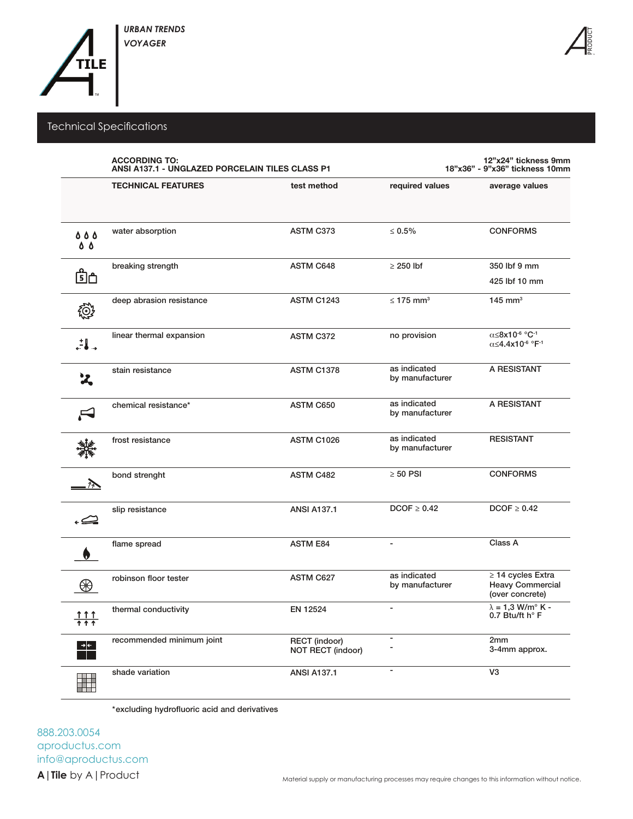

## Technical Specifications

|                               | <b>ACCORDING TO:</b><br>ANSI A137.1 - UNGLAZED PORCELAIN TILES CLASS P1 |                                           | 12"x24" tickness 9mm<br>18"x36" - 9"x36" tickness 10mm |                                                                                  |  |
|-------------------------------|-------------------------------------------------------------------------|-------------------------------------------|--------------------------------------------------------|----------------------------------------------------------------------------------|--|
|                               | <b>TECHNICAL FEATURES</b>                                               | test method                               | required values                                        | average values                                                                   |  |
| <b>888</b><br>0 O             | water absorption                                                        | ASTM C373                                 | $\leq 0.5\%$                                           | <b>CONFORMS</b>                                                                  |  |
| பி்                           | breaking strength                                                       | <b>ASTM C648</b>                          | $\geq$ 250 lbf                                         | 350 lbf 9 mm<br>425 lbf 10 mm                                                    |  |
| $\mathbb{Q}^2$                | deep abrasion resistance                                                | <b>ASTM C1243</b>                         | $\leq$ 175 mm <sup>3</sup>                             | 145 mm <sup>3</sup>                                                              |  |
| $\mathbf{L}$                  | linear thermal expansion                                                | ASTM C372                                 | no provision                                           | α≤8x10 <sup>-6</sup> °C <sup>-1</sup><br>α≤4.4x10 <sup>-6</sup> °F <sup>-1</sup> |  |
| $\mathbf{z}$                  | stain resistance                                                        | <b>ASTM C1378</b>                         | as indicated<br>by manufacturer                        | A RESISTANT                                                                      |  |
|                               | chemical resistance*                                                    | ASTM C650                                 | as indicated<br>by manufacturer                        | A RESISTANT                                                                      |  |
|                               | frost resistance                                                        | ASTM C1026                                | as indicated<br>by manufacturer                        | <b>RESISTANT</b>                                                                 |  |
|                               | bond strenght                                                           | ASTM C482                                 | $\geq 50$ PSI                                          | <b>CONFORMS</b>                                                                  |  |
|                               | slip resistance                                                         | <b>ANSI A137.1</b>                        | $DCOF \geq 0.42$                                       | $DCOF \geq 0.42$                                                                 |  |
|                               | flame spread                                                            | <b>ASTM E84</b>                           | $\overline{\phantom{a}}$                               | Class A                                                                          |  |
| ₩                             | robinson floor tester                                                   | <b>ASTM C627</b>                          | as indicated<br>by manufacturer                        | $\geq$ 14 cycles Extra<br><b>Heavy Commercial</b><br>(over concrete)             |  |
| <u> 1 1 1 </u><br><u> ተ ተ</u> | thermal conductivity                                                    | EN 12524                                  |                                                        | $\lambda = 1.3$ W/m <sup>o</sup> K -<br>0.7 Btu/ft h° F                          |  |
| ∍∣←                           | recommended minimum joint                                               | <b>RECT</b> (indoor)<br>NOT RECT (indoor) | $\blacksquare$                                         | 2mm<br>3-4mm approx.                                                             |  |
| Ħ                             | shade variation                                                         | <b>ANSI A137.1</b>                        | $\overline{\phantom{a}}$                               | V <sub>3</sub>                                                                   |  |

\*excluding hydrofluoric acid and derivatives

aproductus.com info@aproductus.com 888.203.0054